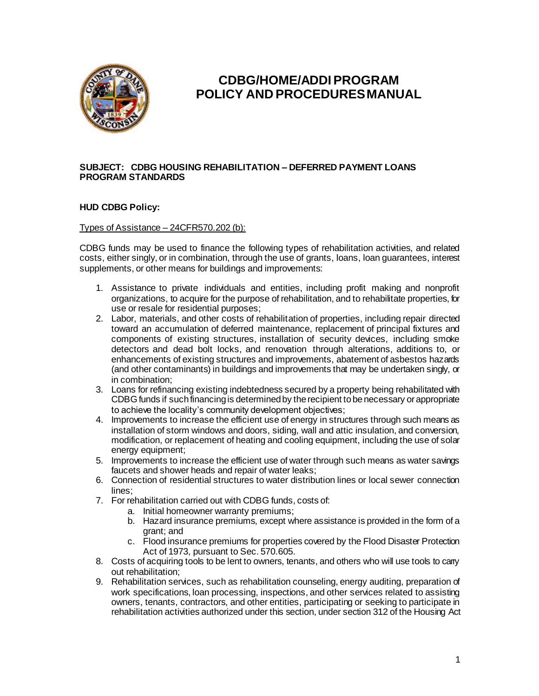

# **CDBG/HOME/ADDI PROGRAM POLICY AND PROCEDURES MANUAL**

#### **SUBJECT: CDBG HOUSING REHABILITATION – DEFERRED PAYMENT LOANS PROGRAM STANDARDS**

## **HUD CDBG Policy:**

#### Types of Assistance – 24CFR570.202 (b):

CDBG funds may be used to finance the following types of rehabilitation activities, and related costs, either singly, or in combination, through the use of grants, loans, loan guarantees, interest supplements, or other means for buildings and improvements:

- 1. Assistance to private individuals and entities, including profit making and nonprofit organizations, to acquire for the purpose of rehabilitation, and to rehabilitate properties, for use or resale for residential purposes;
- 2. Labor, materials, and other costs of rehabilitation of properties, including repair directed toward an accumulation of deferred maintenance, replacement of principal fixtures and components of existing structures, installation of security devices, including smoke detectors and dead bolt locks, and renovation through alterations, additions to, or enhancements of existing structures and improvements, abatement of asbestos hazards (and other contaminants) in buildings and improvements that may be undertaken singly, or in combination;
- 3. Loans for refinancing existing indebtedness secured by a property being rehabilitated with CDBG funds if such financing is determined by the recipient to be necessary or appropriate to achieve the locality's community development objectives;
- 4. Improvements to increase the efficient use of energy in structures through such means as installation of storm windows and doors, siding, wall and attic insulation, and conversion, modification, or replacement of heating and cooling equipment, including the use of solar energy equipment;
- 5. Improvements to increase the efficient use of water through such means as water savings faucets and shower heads and repair of water leaks;
- 6. Connection of residential structures to water distribution lines or local sewer connection lines;
- 7. For rehabilitation carried out with CDBG funds, costs of:
	- a. Initial homeowner warranty premiums;
	- b. Hazard insurance premiums, except where assistance is provided in the form of a grant; and
	- c. Flood insurance premiums for properties covered by the Flood Disaster Protection Act of 1973, pursuant to Sec. 570.605.
- 8. Costs of acquiring tools to be lent to owners, tenants, and others who will use tools to carry out rehabilitation;
- 9. Rehabilitation services, such as rehabilitation counseling, energy auditing, preparation of work specifications, loan processing, inspections, and other services related to assisting owners, tenants, contractors, and other entities, participating or seeking to participate in rehabilitation activities authorized under this section, under section 312 of the Housing Act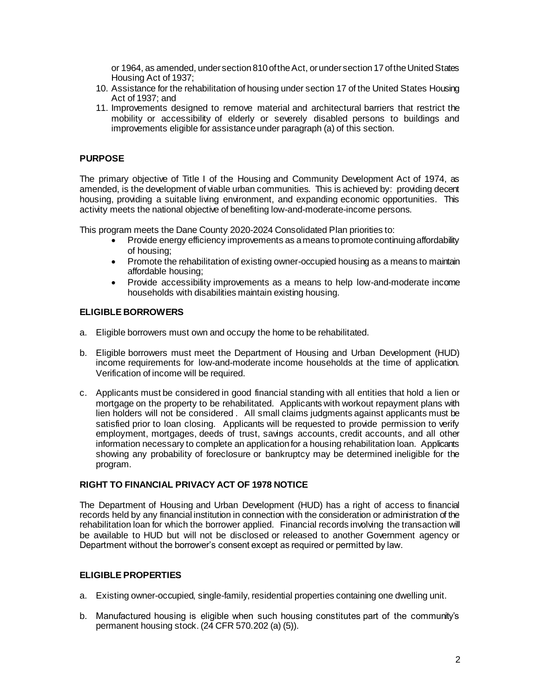or 1964, as amended, under section 810 of the Act, or under section 17 of the United States Housing Act of 1937;

- 10. Assistance for the rehabilitation of housing under section 17 of the United States Housing Act of 1937; and
- 11. Improvements designed to remove material and architectural barriers that restrict the mobility or accessibility of elderly or severely disabled persons to buildings and improvements eligible for assistance under paragraph (a) of this section.

## **PURPOSE**

The primary objective of Title I of the Housing and Community Development Act of 1974, as amended, is the development of viable urban communities. This is achieved by: providing decent housing, providing a suitable living environment, and expanding economic opportunities. This activity meets the national objective of benefiting low-and-moderate-income persons.

This program meets the Dane County 2020-2024 Consolidated Plan priorities to:

- Provide energy efficiency improvements as a means to promote continuing affordability of housing;
- Promote the rehabilitation of existing owner-occupied housing as a means to maintain affordable housing;
- Provide accessibility improvements as a means to help low-and-moderate income households with disabilities maintain existing housing.

## **ELIGIBLE BORROWERS**

- a. Eligible borrowers must own and occupy the home to be rehabilitated.
- b. Eligible borrowers must meet the Department of Housing and Urban Development (HUD) income requirements for low-and-moderate income households at the time of application. Verification of income will be required.
- c. Applicants must be considered in good financial standing with all entities that hold a lien or mortgage on the property to be rehabilitated. Applicants with workout repayment plans with lien holders will not be considered . All small claims judgments against applicants must be satisfied prior to loan closing. Applicants will be requested to provide permission to verify employment, mortgages, deeds of trust, savings accounts, credit accounts, and all other information necessary to complete an application for a housing rehabilitation loan. Applicants showing any probability of foreclosure or bankruptcy may be determined ineligible for the program.

# **RIGHT TO FINANCIAL PRIVACY ACT OF 1978 NOTICE**

The Department of Housing and Urban Development (HUD) has a right of access to financial records held by any financial institution in connection with the consideration or administration of the rehabilitation loan for which the borrower applied. Financial records involving the transaction will be available to HUD but will not be disclosed or released to another Government agency or Department without the borrower's consent except as required or permitted by law.

## **ELIGIBLE PROPERTIES**

- a. Existing owner-occupied, single-family, residential properties containing one dwelling unit.
- b. Manufactured housing is eligible when such housing constitutes part of the community's permanent housing stock. (24 CFR 570.202 (a) (5)).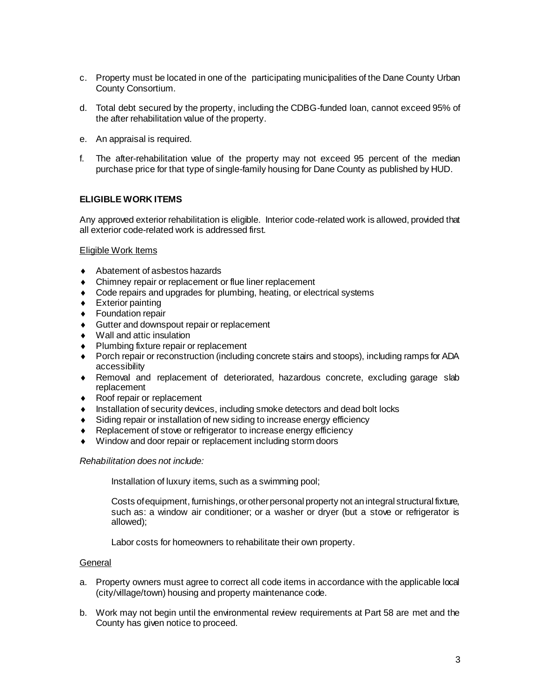- c. Property must be located in one of the participating municipalities of the Dane County Urban County Consortium.
- d. Total debt secured by the property, including the CDBG-funded loan, cannot exceed 95% of the after rehabilitation value of the property.
- e. An appraisal is required.
- f. The after-rehabilitation value of the property may not exceed 95 percent of the median purchase price for that type of single-family housing for Dane County as published by HUD.

## **ELIGIBLE WORK ITEMS**

Any approved exterior rehabilitation is eligible. Interior code-related work is allowed, provided that all exterior code-related work is addressed first.

#### Eligible Work Items

- Abatement of asbestos hazards
- Chimney repair or replacement or flue liner replacement
- Code repairs and upgrades for plumbing, heating, or electrical systems
- **Exterior painting**
- ◆ Foundation repair
- ◆ Gutter and downspout repair or replacement
- Wall and attic insulation
- Plumbing fixture repair or replacement
- Porch repair or reconstruction (including concrete stairs and stoops), including ramps for ADA accessibility
- Removal and replacement of deteriorated, hazardous concrete, excluding garage slab replacement
- ◆ Roof repair or replacement
- **Installation of security devices, including smoke detectors and dead bolt locks**
- ◆ Siding repair or installation of new siding to increase energy efficiency
- Replacement of stove or refrigerator to increase energy efficiency
- Window and door repair or replacement including storm doors

#### *Rehabilitation does not include:*

Installation of luxury items, such as a swimming pool;

Costs of equipment, furnishings, or other personal property not an integral structural fixture, such as: a window air conditioner; or a washer or dryer (but a stove or refrigerator is allowed);

Labor costs for homeowners to rehabilitate their own property.

#### **General**

- a. Property owners must agree to correct all code items in accordance with the applicable local (city/village/town) housing and property maintenance code.
- b. Work may not begin until the environmental review requirements at Part 58 are met and the County has given notice to proceed.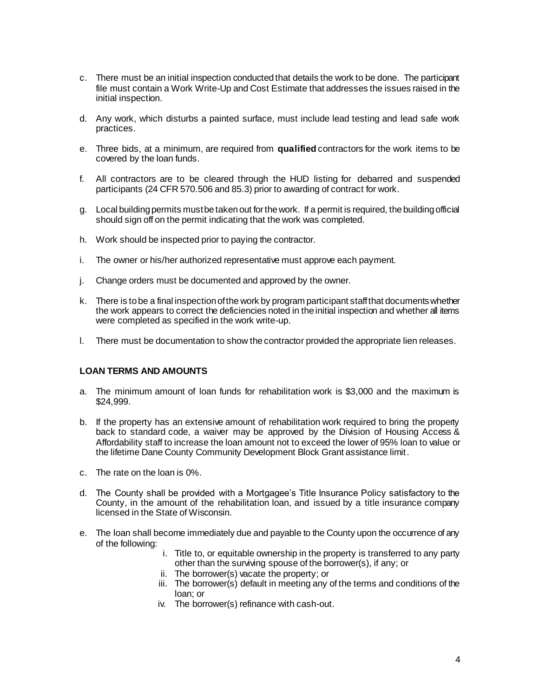- c. There must be an initial inspection conducted that details the work to be done. The participant file must contain a Work Write-Up and Cost Estimate that addresses the issues raised in the initial inspection.
- d. Any work, which disturbs a painted surface, must include lead testing and lead safe work practices.
- e. Three bids, at a minimum, are required from **qualified** contractors for the work items to be covered by the loan funds.
- f. All contractors are to be cleared through the HUD listing for debarred and suspended participants (24 CFR 570.506 and 85.3) prior to awarding of contract for work.
- g. Local building permits must be taken out for the work. If a permit is required, the building official should sign off on the permit indicating that the work was completed.
- h. Work should be inspected prior to paying the contractor.
- i. The owner or his/her authorized representative must approve each payment.
- j. Change orders must be documented and approved by the owner.
- k. There is to be a final inspection of the work by program participant staff that documents whether the work appears to correct the deficiencies noted in the initial inspection and whether all items were completed as specified in the work write-up.
- l. There must be documentation to show the contractor provided the appropriate lien releases.

#### **LOAN TERMS AND AMOUNTS**

- a. The minimum amount of loan funds for rehabilitation work is \$3,000 and the maximum is \$24,999.
- b. If the property has an extensive amount of rehabilitation work required to bring the property back to standard code, a waiver may be approved by the Division of Housing Access & Affordability staff to increase the loan amount not to exceed the lower of 95% loan to value or the lifetime Dane County Community Development Block Grant assistance limit.
- c. The rate on the loan is 0%.
- d. The County shall be provided with a Mortgagee's Title Insurance Policy satisfactory to the County, in the amount of the rehabilitation loan, and issued by a title insurance company licensed in the State of Wisconsin.
- e. The loan shall become immediately due and payable to the County upon the occurrence of any of the following:
	- i. Title to, or equitable ownership in the property is transferred to any party other than the surviving spouse of the borrower(s), if any; or
	- ii. The borrower(s) vacate the property; or
	- iii. The borrower(s) default in meeting any of the terms and conditions of the loan; or
	- iv. The borrower(s) refinance with cash-out.